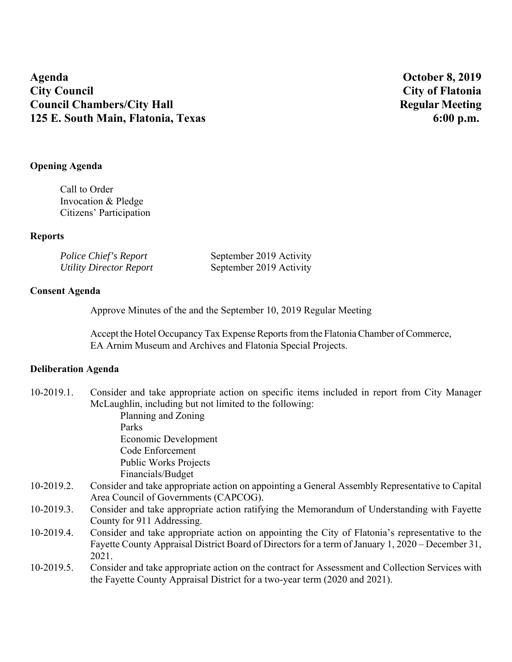**Agenda October 8, 2019 City Council City of Flatonia Council Chambers/City Hall Regular Meeting 125 E. South Main, Flatonia, Texas 6:00 p.m.** 

# **Opening Agenda**

Call to Order Invocation & Pledge Citizens' Participation

# **Reports**

| Police Chief's Report          | September 2019 Activity |
|--------------------------------|-------------------------|
| <b>Utility Director Report</b> | September 2019 Activity |

## **Consent Agenda**

Approve Minutes of the and the September 10, 2019 Regular Meeting

Accept the Hotel Occupancy Tax Expense Reports from the Flatonia Chamber of Commerce, EA Arnim Museum and Archives and Flatonia Special Projects.

# **Deliberation Agenda**

| $10-2019.1.$ | Consider and take appropriate action on specific items included in report from City Manager       |
|--------------|---------------------------------------------------------------------------------------------------|
|              | McLaughlin, including but not limited to the following:                                           |
|              | Planning and Zoning                                                                               |
|              | Parks                                                                                             |
|              | Economic Development                                                                              |
|              | Code Enforcement                                                                                  |
|              | <b>Public Works Projects</b>                                                                      |
|              | Financials/Budget                                                                                 |
| $10-2019.2.$ | Consider and take appropriate action on appointing a General Assembly Representative to Capital   |
|              | Area Council of Governments (CAPCOG).                                                             |
| $10-2019.3.$ | Consider and take appropriate action ratifying the Memorandum of Understanding with Fayette       |
|              | County for 911 Addressing.                                                                        |
| 10-2019.4.   | Consider and take appropriate action on appointing the City of Flatonia's representative to the   |
|              | Fayette County Appraisal District Board of Directors for a term of January 1, 2020 – December 31, |
|              | 2021.                                                                                             |
| $10-2019.5.$ | Consider and take appropriate action on the contract for Assessment and Collection Services with  |
|              | the Fayette County Appraisal District for a two-year term (2020 and 2021).                        |